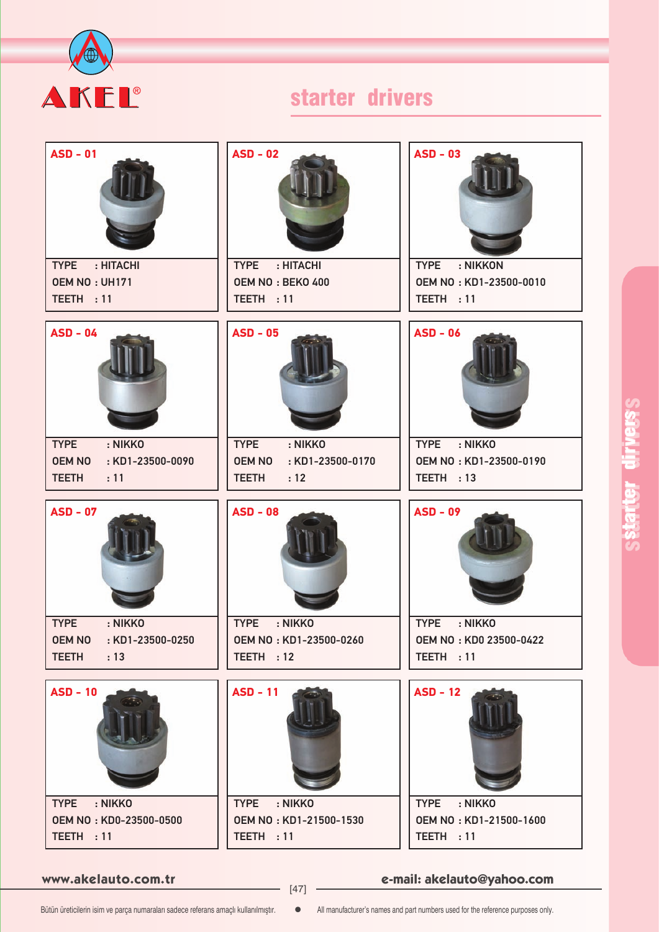

| $ASD - 01$<br><b>TYPE</b><br>: HITACHI                    | $ASD - 02$<br>TYPE : HITACHI                              | <b>ASD - 03</b><br><b>TYPE</b><br>: NIKKON       |
|-----------------------------------------------------------|-----------------------------------------------------------|--------------------------------------------------|
| OEM NO: UH171                                             | OEM NO: BEKO 400                                          | OEM NO: KD1-23500-0010                           |
| TEETH: 11                                                 | TEETH : 11                                                | TEETH : 11                                       |
| $ASD - 04$                                                | $ASD - 05$                                                | <b>ASD - 06</b>                                  |
| <b>TYPE</b><br>: NIKKO                                    | <b>TYPE</b><br>: NIKKO                                    | <b>TYPE</b><br>: NIKKO                           |
| <b>OEM NO</b><br>: KD1-23500-0090<br><b>TEETH</b><br>: 11 | <b>OEM NO</b><br>: KD1-23500-0170<br><b>TEETH</b><br>: 12 | OEM NO: KD1-23500-0190<br>TEETH : 13             |
|                                                           |                                                           |                                                  |
| <b>ASD - 07</b>                                           | <b>ASD - 08</b>                                           | <b>ASD - 09</b>                                  |
| : NIKKO<br><b>TYPE</b>                                    | <b>TYPE</b><br>: NIKKO                                    | : NIKKO<br><b>TYPE</b>                           |
| OEM NO : KD1-23500-0250<br><b>TEETH</b><br>: 13           | OEM NO: KD1-23500-0260<br>TEETH : 12                      | OEM NO: KD0 23500-0422<br>TEETH: 11              |
|                                                           |                                                           |                                                  |
| $ASD - 10$                                                | <b>ASD - 11</b>                                           | $ASD - 12$                                       |
| : NIKKO<br><b>TYPE</b>                                    | TYPE : NIKKO<br>OEM NO: KD1-21500-1530                    | <b>TYPE</b><br>: NIKKO<br>OEM NO: KD1-21500-1600 |
|                                                           |                                                           |                                                  |
| OEM NO: KD0-23500-0500<br>TEETH: 11                       | TEETH : 11                                                | TEETH : 11                                       |

**www.akelauto.com.tr e-mail: akelauto@yahoo.com** [47]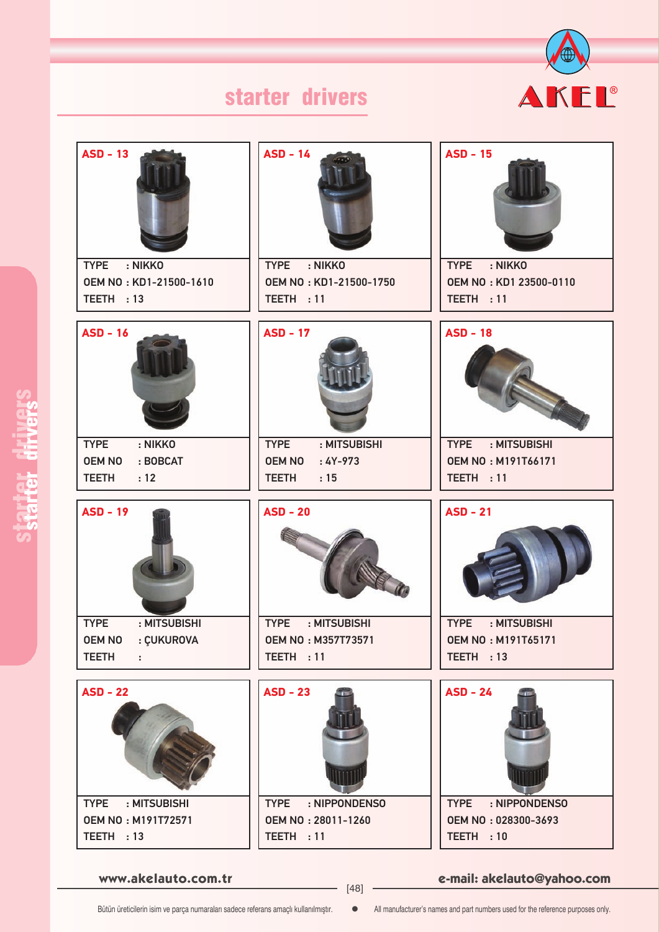

| $ASD - 13$                  | $ASD - 14$                  | <b>ASD - 15</b>              |
|-----------------------------|-----------------------------|------------------------------|
| <b>TYPE</b><br>: NIKKO      | TYPE : NIKKO                | <b>TYPE</b><br>: NIKKO       |
| OEM NO: KD1-21500-1610      | OEM NO: KD1-21500-1750      | OEM NO: KD1 23500-0110       |
| TEETH : 13                  | TEETH : 11                  | TEETH: 11                    |
| <b>ASD - 16</b>             | <b>ASD - 17</b>             | <b>ASD - 18</b>              |
| <b>TYPE</b><br>: NIKKO      | <b>TYPE</b><br>: MITSUBISHI | <b>TYPE</b><br>: MITSUBISHI  |
| <b>OEM NO</b><br>: BOBCAT   | <b>OEM NO</b><br>$:4Y-973$  | <b>OEM NO: M191T66171</b>    |
| <b>TEETH</b><br>: 12        | <b>TEETH</b><br>:15         | TEETH : 11                   |
| <b>ASD - 19</b>             | $ASD - 20$                  | $ASD - 21$                   |
| <b>TYPE</b><br>: MITSUBISHI | <b>TYPE</b><br>: MITSUBISHI | <b>TYPE</b><br>: MITSUBISHI  |
| <b>OEM NO</b><br>: ÇUKUROVA | <b>OEM NO: M357T73571</b>   | <b>OEM NO: M191T65171</b>    |
| <b>TEETH</b><br>÷           | TEETH : 11                  | TEETH : 13                   |
| <b>ASD - 22</b>             | $ASD - 23$                  | $ASD - 24$                   |
| <b>TYPE</b><br>: MITSUBISHI | TYPE : NIPPONDENSO          | : NIPPONDENSO<br><b>TYPE</b> |
| <b>OEM NO: M191T72571</b>   | OEM NO: 28011-1260          | OEM NO: 028300-3693          |
| TEETH : 13                  | TEETH: 11                   | TEETH : 10                   |

**www.akelauto.com.tr e-mail: akelauto@yahoo.com** [48]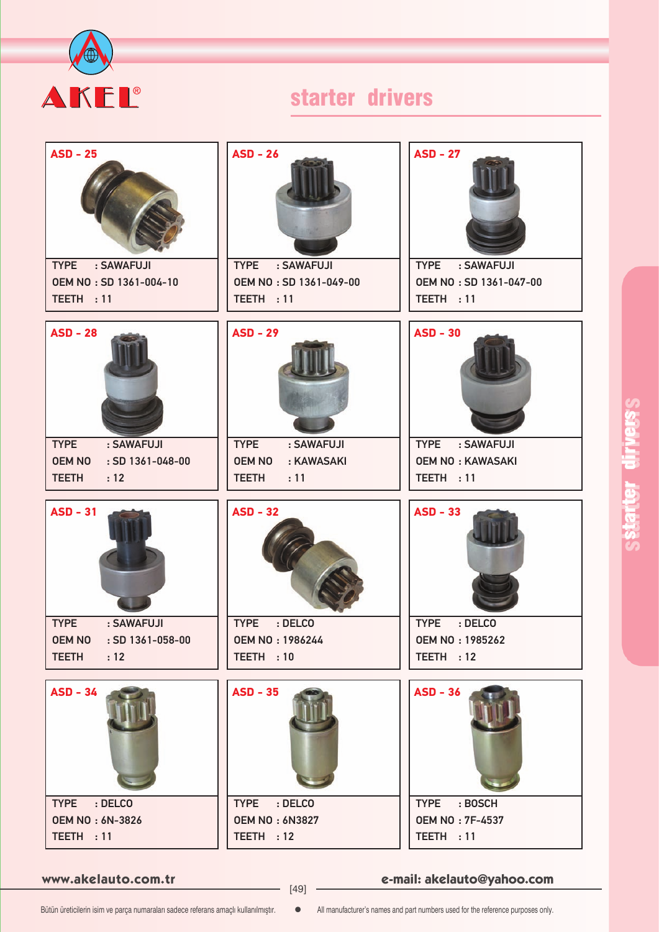

| $ASD - 25$                                                     | $ASD - 26$                                               | <b>ASD - 27</b>                                      |
|----------------------------------------------------------------|----------------------------------------------------------|------------------------------------------------------|
| <b>TYPE</b><br>: SAWAFUJI<br>OEM NO: SD 1361-004-10            | <b>TYPE</b><br>: SAWAFUJI<br>OEM NO: SD 1361-049-00      | <b>TYPE</b><br>: SAWAFUJI<br>OEM NO: SD 1361-047-00  |
| TEETH : 11                                                     | TEETH : 11                                               | TEETH : 11                                           |
| <b>ASD - 28</b>                                                | <b>ASD - 29</b>                                          | <b>ASD - 30</b>                                      |
| <b>TYPE</b><br>: SAWAFUJI<br><b>OEM NO</b><br>: SD 1361-048-00 | <b>TYPE</b><br>: SAWAFUJI<br><b>OEM NO</b><br>: KAWASAKI | <b>TYPE</b><br>: SAWAFUJI<br><b>OEM NO: KAWASAKI</b> |
| <b>TEETH</b><br>: 12                                           | <b>TEETH</b><br>: 11                                     | TEETH : 11                                           |
| $ASD - 31$                                                     | <b>ASD - 32</b>                                          | <b>ASD - 33</b>                                      |
| : SAWAFUJI<br><b>TYPE</b><br>OEM NO : SD 1361-058-00           | <b>TYPE</b><br>: DELCO<br><b>OEM NO: 1986244</b>         | <b>TYPE</b><br>: DELCO                               |
| <b>TEETH</b><br>: 12                                           | TEETH : 10                                               | <b>OEM NO: 1985262</b><br>TEETH: 12                  |
| $ASD - 34$                                                     | <b>ASD - 35</b>                                          | $ASD - 36$                                           |
| TYPE : DELCO<br><b>OEM NO: 6N-3826</b>                         | TYPE : DELCO<br><b>OEM NO: 6N3827</b>                    | TYPE : BOSCH<br><b>OEM NO: 7F-4537</b>               |
| TEETH : 11                                                     | TEETH: 12                                                | TEETH: 11                                            |

**www.akelauto.com.tr e-mail: akelauto@yahoo.com** [49]